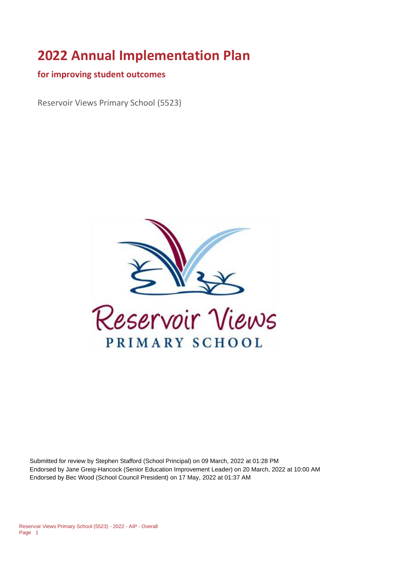# **2022 Annual Implementation Plan**

#### **for improving student outcomes**

Reservoir Views Primary School (5523)



Submitted for review by Stephen Stafford (School Principal) on 09 March, 2022 at 01:28 PM Endorsed by Jane Greig-Hancock (Senior Education Improvement Leader) on 20 March, 2022 at 10:00 AM Endorsed by Bec Wood (School Council President) on 17 May, 2022 at 01:37 AM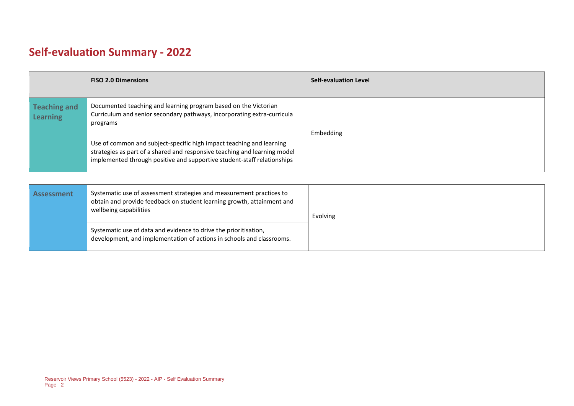# **Self-evaluation Summary - 2022**

|                                 | <b>FISO 2.0 Dimensions</b>                                                                                                                                                                                                   | <b>Self-evaluation Level</b> |
|---------------------------------|------------------------------------------------------------------------------------------------------------------------------------------------------------------------------------------------------------------------------|------------------------------|
| <b>Teaching and</b><br>Learning | Documented teaching and learning program based on the Victorian<br>Curriculum and senior secondary pathways, incorporating extra-curricula<br>programs                                                                       | Embedding                    |
|                                 | Use of common and subject-specific high impact teaching and learning<br>strategies as part of a shared and responsive teaching and learning model<br>implemented through positive and supportive student-staff relationships |                              |

| <b>Assessment</b> | Systematic use of assessment strategies and measurement practices to<br>obtain and provide feedback on student learning growth, attainment and<br>wellbeing capabilities | Evolving |
|-------------------|--------------------------------------------------------------------------------------------------------------------------------------------------------------------------|----------|
|                   | Systematic use of data and evidence to drive the prioritisation,<br>development, and implementation of actions in schools and classrooms.                                |          |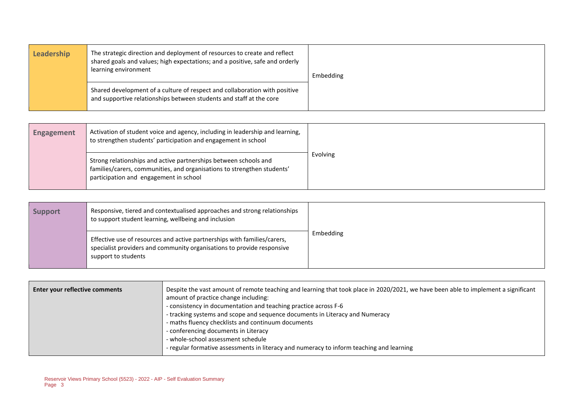| The strategic direction and deployment of resources to create and reflect<br>Leadership<br>shared goals and values; high expectations; and a positive, safe and orderly<br>learning environment | Embedding                                                                                                                                         |  |
|-------------------------------------------------------------------------------------------------------------------------------------------------------------------------------------------------|---------------------------------------------------------------------------------------------------------------------------------------------------|--|
|                                                                                                                                                                                                 | Shared development of a culture of respect and collaboration with positive<br>and supportive relationships between students and staff at the core |  |

| <b>Engagement</b> | Activation of student voice and agency, including in leadership and learning,<br>to strengthen students' participation and engagement in school                                       |          |
|-------------------|---------------------------------------------------------------------------------------------------------------------------------------------------------------------------------------|----------|
|                   | Strong relationships and active partnerships between schools and<br>families/carers, communities, and organisations to strengthen students'<br>participation and engagement in school | Evolving |

| <b>Support</b> | Responsive, tiered and contextualised approaches and strong relationships<br>to support student learning, wellbeing and inclusion                                         |           |
|----------------|---------------------------------------------------------------------------------------------------------------------------------------------------------------------------|-----------|
|                | Effective use of resources and active partnerships with families/carers,<br>specialist providers and community organisations to provide responsive<br>support to students | Embedding |

| Enter your reflective comments | Despite the vast amount of remote teaching and learning that took place in 2020/2021, we have been able to implement a significant<br>amount of practice change including:<br>- consistency in documentation and teaching practice across F-6<br>- tracking systems and scope and sequence documents in Literacy and Numeracy<br>- maths fluency checklists and continuum documents<br>- conferencing documents in Literacy<br>- whole-school assessment schedule<br>- regular formative assessments in literacy and numeracy to inform teaching and learning |
|--------------------------------|---------------------------------------------------------------------------------------------------------------------------------------------------------------------------------------------------------------------------------------------------------------------------------------------------------------------------------------------------------------------------------------------------------------------------------------------------------------------------------------------------------------------------------------------------------------|
|--------------------------------|---------------------------------------------------------------------------------------------------------------------------------------------------------------------------------------------------------------------------------------------------------------------------------------------------------------------------------------------------------------------------------------------------------------------------------------------------------------------------------------------------------------------------------------------------------------|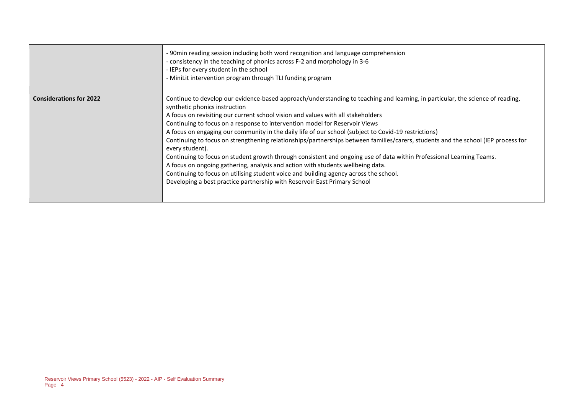|                                | -90min reading session including both word recognition and language comprehension<br>- consistency in the teaching of phonics across F-2 and morphology in 3-6<br>- IEPs for every student in the school<br>- MiniLit intervention program through TLI funding program                                                                                                                                                                                                                                                                                                                                                                                                                                                                                                                                                                                                                                                                                                              |
|--------------------------------|-------------------------------------------------------------------------------------------------------------------------------------------------------------------------------------------------------------------------------------------------------------------------------------------------------------------------------------------------------------------------------------------------------------------------------------------------------------------------------------------------------------------------------------------------------------------------------------------------------------------------------------------------------------------------------------------------------------------------------------------------------------------------------------------------------------------------------------------------------------------------------------------------------------------------------------------------------------------------------------|
| <b>Considerations for 2022</b> | Continue to develop our evidence-based approach/understanding to teaching and learning, in particular, the science of reading,<br>synthetic phonics instruction<br>A focus on revisiting our current school vision and values with all stakeholders<br>Continuing to focus on a response to intervention model for Reservoir Views<br>A focus on engaging our community in the daily life of our school (subject to Covid-19 restrictions)<br>Continuing to focus on strengthening relationships/partnerships between families/carers, students and the school (IEP process for<br>every student).<br>Continuing to focus on student growth through consistent and ongoing use of data within Professional Learning Teams.<br>A focus on ongoing gathering, analysis and action with students wellbeing data.<br>Continuing to focus on utilising student voice and building agency across the school.<br>Developing a best practice partnership with Reservoir East Primary School |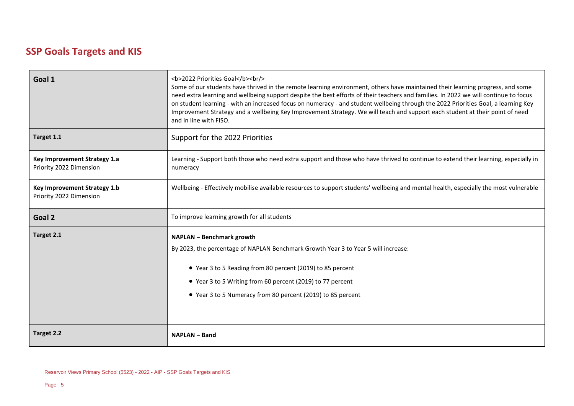### **SSP Goals Targets and KIS**

| Goal 1                                                  | <b>2022 Priorities Goal</b><br><br><br>Some of our students have thrived in the remote learning environment, others have maintained their learning progress, and some<br>need extra learning and wellbeing support despite the best efforts of their teachers and families. In 2022 we will continue to focus<br>on student learning - with an increased focus on numeracy - and student wellbeing through the 2022 Priorities Goal, a learning Key<br>Improvement Strategy and a wellbeing Key Improvement Strategy. We will teach and support each student at their point of need<br>and in line with FISO. |
|---------------------------------------------------------|---------------------------------------------------------------------------------------------------------------------------------------------------------------------------------------------------------------------------------------------------------------------------------------------------------------------------------------------------------------------------------------------------------------------------------------------------------------------------------------------------------------------------------------------------------------------------------------------------------------|
| Target 1.1                                              | Support for the 2022 Priorities                                                                                                                                                                                                                                                                                                                                                                                                                                                                                                                                                                               |
| Key Improvement Strategy 1.a<br>Priority 2022 Dimension | Learning - Support both those who need extra support and those who have thrived to continue to extend their learning, especially in<br>numeracy                                                                                                                                                                                                                                                                                                                                                                                                                                                               |
| Key Improvement Strategy 1.b<br>Priority 2022 Dimension | Wellbeing - Effectively mobilise available resources to support students' wellbeing and mental health, especially the most vulnerable                                                                                                                                                                                                                                                                                                                                                                                                                                                                         |
|                                                         |                                                                                                                                                                                                                                                                                                                                                                                                                                                                                                                                                                                                               |
| Goal 2                                                  | To improve learning growth for all students                                                                                                                                                                                                                                                                                                                                                                                                                                                                                                                                                                   |
| Target 2.1                                              | NAPLAN - Benchmark growth<br>By 2023, the percentage of NAPLAN Benchmark Growth Year 3 to Year 5 will increase:<br>• Year 3 to 5 Reading from 80 percent (2019) to 85 percent<br>• Year 3 to 5 Writing from 60 percent (2019) to 77 percent<br>• Year 3 to 5 Numeracy from 80 percent (2019) to 85 percent                                                                                                                                                                                                                                                                                                    |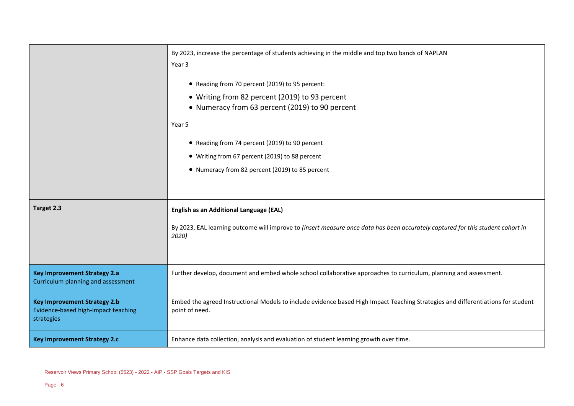|                                                                                          | By 2023, increase the percentage of students achieving in the middle and top two bands of NAPLAN<br>Year 3<br>• Reading from 70 percent (2019) to 95 percent: |
|------------------------------------------------------------------------------------------|---------------------------------------------------------------------------------------------------------------------------------------------------------------|
|                                                                                          | • Writing from 82 percent (2019) to 93 percent<br>• Numeracy from 63 percent (2019) to 90 percent                                                             |
|                                                                                          | Year 5                                                                                                                                                        |
|                                                                                          | • Reading from 74 percent (2019) to 90 percent                                                                                                                |
|                                                                                          | • Writing from 67 percent (2019) to 88 percent                                                                                                                |
|                                                                                          | • Numeracy from 82 percent (2019) to 85 percent                                                                                                               |
|                                                                                          |                                                                                                                                                               |
| Target 2.3                                                                               | English as an Additional Language (EAL)                                                                                                                       |
|                                                                                          | By 2023, EAL learning outcome will improve to (insert measure once data has been accurately captured for this student cohort in<br>2020)                      |
| <b>Key Improvement Strategy 2.a</b><br>Curriculum planning and assessment                | Further develop, document and embed whole school collaborative approaches to curriculum, planning and assessment.                                             |
| <b>Key Improvement Strategy 2.b</b><br>Evidence-based high-impact teaching<br>strategies | Embed the agreed Instructional Models to include evidence based High Impact Teaching Strategies and differentiations for student<br>point of need.            |
| <b>Key Improvement Strategy 2.c</b>                                                      | Enhance data collection, analysis and evaluation of student learning growth over time.                                                                        |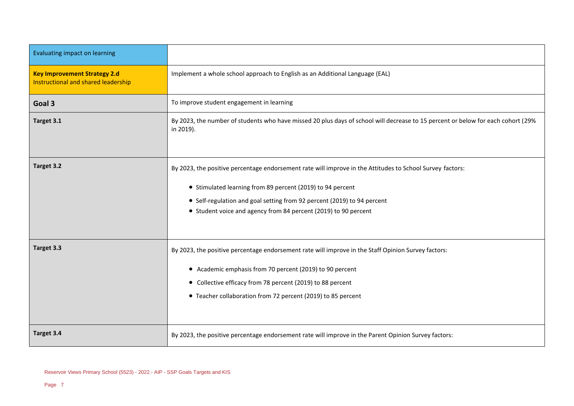| <b>Evaluating impact on learning</b>                                       |                                                                                                                                               |
|----------------------------------------------------------------------------|-----------------------------------------------------------------------------------------------------------------------------------------------|
| <b>Key Improvement Strategy 2.d</b><br>Instructional and shared leadership | Implement a whole school approach to English as an Additional Language (EAL)                                                                  |
| Goal 3                                                                     | To improve student engagement in learning                                                                                                     |
| Target 3.1                                                                 | By 2023, the number of students who have missed 20 plus days of school will decrease to 15 percent or below for each cohort (29%<br>in 2019). |
| Target 3.2                                                                 | By 2023, the positive percentage endorsement rate will improve in the Attitudes to School Survey factors:                                     |
|                                                                            | • Stimulated learning from 89 percent (2019) to 94 percent                                                                                    |
|                                                                            | • Self-regulation and goal setting from 92 percent (2019) to 94 percent                                                                       |
|                                                                            | • Student voice and agency from 84 percent (2019) to 90 percent                                                                               |
| Target 3.3                                                                 | By 2023, the positive percentage endorsement rate will improve in the Staff Opinion Survey factors:                                           |
|                                                                            | • Academic emphasis from 70 percent (2019) to 90 percent                                                                                      |
|                                                                            | • Collective efficacy from 78 percent (2019) to 88 percent                                                                                    |
|                                                                            | • Teacher collaboration from 72 percent (2019) to 85 percent                                                                                  |
|                                                                            |                                                                                                                                               |
| Target 3.4                                                                 | By 2023, the positive percentage endorsement rate will improve in the Parent Opinion Survey factors:                                          |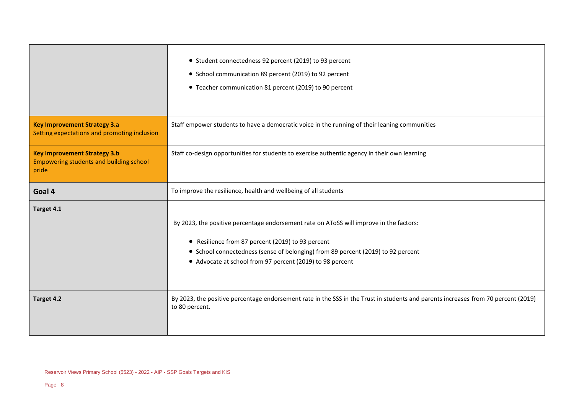|                                                                                                | • Student connectedness 92 percent (2019) to 93 percent<br>• School communication 89 percent (2019) to 92 percent<br>• Teacher communication 81 percent (2019) to 90 percent                                                                                                                  |
|------------------------------------------------------------------------------------------------|-----------------------------------------------------------------------------------------------------------------------------------------------------------------------------------------------------------------------------------------------------------------------------------------------|
| <b>Key Improvement Strategy 3.a</b><br>Setting expectations and promoting inclusion            | Staff empower students to have a democratic voice in the running of their leaning communities                                                                                                                                                                                                 |
| <b>Key Improvement Strategy 3.b</b><br><b>Empowering students and building school</b><br>pride | Staff co-design opportunities for students to exercise authentic agency in their own learning                                                                                                                                                                                                 |
| Goal 4                                                                                         | To improve the resilience, health and wellbeing of all students                                                                                                                                                                                                                               |
| Target 4.1                                                                                     | By 2023, the positive percentage endorsement rate on AToSS will improve in the factors:<br>• Resilience from 87 percent (2019) to 93 percent<br>• School connectedness (sense of belonging) from 89 percent (2019) to 92 percent<br>• Advocate at school from 97 percent (2019) to 98 percent |
| Target 4.2                                                                                     | By 2023, the positive percentage endorsement rate in the SSS in the Trust in students and parents increases from 70 percent (2019)<br>to 80 percent.                                                                                                                                          |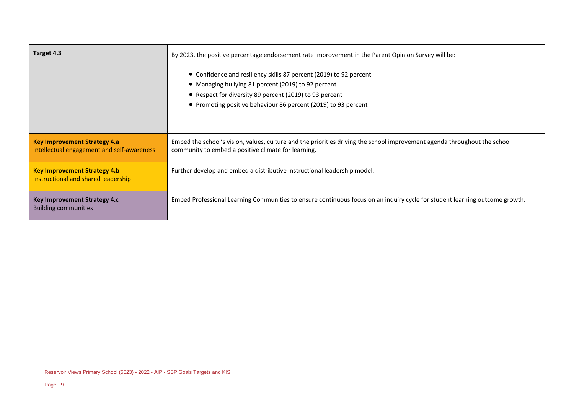| Target 4.3                                                                        | By 2023, the positive percentage endorsement rate improvement in the Parent Opinion Survey will be:                                                                                                                                                    |
|-----------------------------------------------------------------------------------|--------------------------------------------------------------------------------------------------------------------------------------------------------------------------------------------------------------------------------------------------------|
|                                                                                   | • Confidence and resiliency skills 87 percent (2019) to 92 percent<br>• Managing bullying 81 percent (2019) to 92 percent<br>• Respect for diversity 89 percent (2019) to 93 percent<br>• Promoting positive behaviour 86 percent (2019) to 93 percent |
| <b>Key Improvement Strategy 4.a</b><br>Intellectual engagement and self-awareness | Embed the school's vision, values, culture and the priorities driving the school improvement agenda throughout the school<br>community to embed a positive climate for learning.                                                                       |
| <b>Key Improvement Strategy 4.b</b><br>Instructional and shared leadership        | Further develop and embed a distributive instructional leadership model.                                                                                                                                                                               |
| <b>Key Improvement Strategy 4.c</b><br><b>Building communities</b>                | Embed Professional Learning Communities to ensure continuous focus on an inquiry cycle for student learning outcome growth.                                                                                                                            |

 $\overline{\phantom{a}}$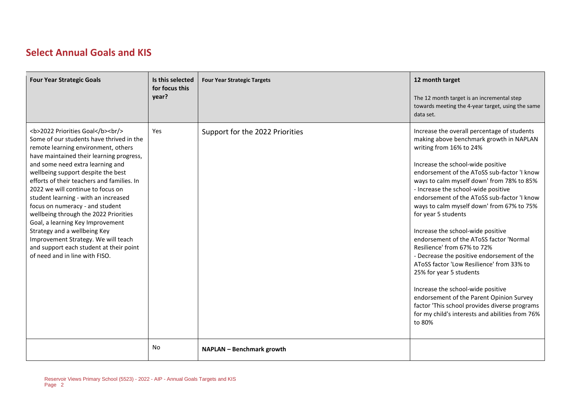### **Select Annual Goals and KIS**

| <b>Four Year Strategic Goals</b>                                                                                                                                                                           | Is this selected<br>for focus this<br>year? | <b>Four Year Strategic Targets</b> | 12 month target<br>The 12 month target is an incremental step<br>towards meeting the 4-year target, using the same<br>data set.                                                                                                                                                                                                                                                                                                                                                                                                                                                                                                                                                                                                                                                                                                                  |
|------------------------------------------------------------------------------------------------------------------------------------------------------------------------------------------------------------|---------------------------------------------|------------------------------------|--------------------------------------------------------------------------------------------------------------------------------------------------------------------------------------------------------------------------------------------------------------------------------------------------------------------------------------------------------------------------------------------------------------------------------------------------------------------------------------------------------------------------------------------------------------------------------------------------------------------------------------------------------------------------------------------------------------------------------------------------------------------------------------------------------------------------------------------------|
| <b>2022 Priorities Goal</b><br><br><br>Some of our students have thrived in the<br>remote learning environment, others<br>have maintained their learning progress,<br>and some need extra learning and<br> | <b>Yes</b>                                  | Support for the 2022 Priorities    | Increase the overall percentage of students<br>making above benchmark growth in NAPLAN<br>writing from 16% to 24%<br>Increase the school-wide positive<br>endorsement of the AToSS sub-factor 'I know<br>ways to calm myself down' from 78% to 85%<br>- Increase the school-wide positive<br>endorsement of the AToSS sub-factor 'I know<br>ways to calm myself down' from 67% to 75%<br>for year 5 students<br>Increase the school-wide positive<br>endorsement of the AToSS factor 'Normal<br>Resilience' from 67% to 72%<br>- Decrease the positive endorsement of the<br>AToSS factor 'Low Resilience' from 33% to<br>25% for year 5 students<br>Increase the school-wide positive<br>endorsement of the Parent Opinion Survey<br>factor 'This school provides diverse programs<br>for my child's interests and abilities from 76%<br>to 80% |
|                                                                                                                                                                                                            | <b>No</b>                                   | NAPLAN - Benchmark growth          |                                                                                                                                                                                                                                                                                                                                                                                                                                                                                                                                                                                                                                                                                                                                                                                                                                                  |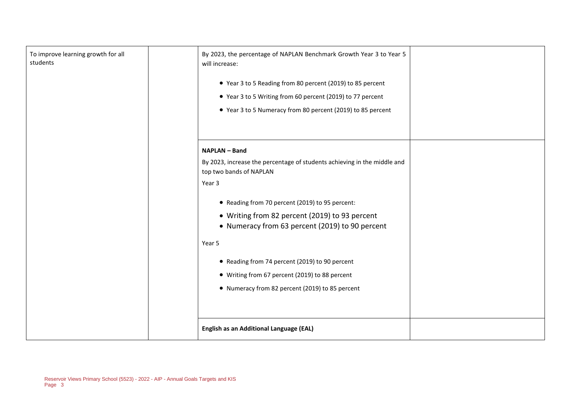| <b>NAPLAN - Band</b><br>By 2023, increase the percentage of students achieving in the middle and<br>top two bands of NAPLAN<br>Year 3<br>• Reading from 70 percent (2019) to 95 percent:<br>• Writing from 82 percent (2019) to 93 percent<br>• Numeracy from 63 percent (2019) to 90 percent<br>Year 5<br>• Reading from 74 percent (2019) to 90 percent<br>• Writing from 67 percent (2019) to 88 percent | To improve learning growth for all<br>students |  | By 2023, the percentage of NAPLAN Benchmark Growth Year 3 to Year 5<br>will increase:<br>• Year 3 to 5 Reading from 80 percent (2019) to 85 percent<br>• Year 3 to 5 Writing from 60 percent (2019) to 77 percent<br>• Year 3 to 5 Numeracy from 80 percent (2019) to 85 percent |  |
|-------------------------------------------------------------------------------------------------------------------------------------------------------------------------------------------------------------------------------------------------------------------------------------------------------------------------------------------------------------------------------------------------------------|------------------------------------------------|--|----------------------------------------------------------------------------------------------------------------------------------------------------------------------------------------------------------------------------------------------------------------------------------|--|
| <b>English as an Additional Language (EAL)</b>                                                                                                                                                                                                                                                                                                                                                              |                                                |  | • Numeracy from 82 percent (2019) to 85 percent                                                                                                                                                                                                                                  |  |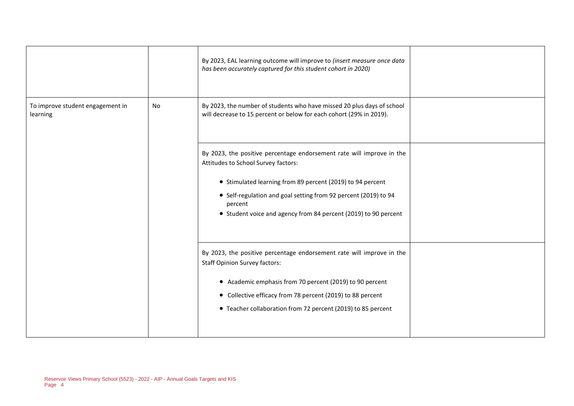|                                              |    | By 2023, EAL learning outcome will improve to (insert measure once data<br>has been accurately captured for this student cohort in 2020)                                                                                                                                                                                    |  |
|----------------------------------------------|----|-----------------------------------------------------------------------------------------------------------------------------------------------------------------------------------------------------------------------------------------------------------------------------------------------------------------------------|--|
| To improve student engagement in<br>learning | No | By 2023, the number of students who have missed 20 plus days of school<br>will decrease to 15 percent or below for each cohort (29% in 2019).                                                                                                                                                                               |  |
|                                              |    | By 2023, the positive percentage endorsement rate will improve in the<br>Attitudes to School Survey factors:<br>• Stimulated learning from 89 percent (2019) to 94 percent<br>• Self-regulation and goal setting from 92 percent (2019) to 94<br>percent<br>• Student voice and agency from 84 percent (2019) to 90 percent |  |
|                                              |    | By 2023, the positive percentage endorsement rate will improve in the<br><b>Staff Opinion Survey factors:</b><br>• Academic emphasis from 70 percent (2019) to 90 percent<br>• Collective efficacy from 78 percent (2019) to 88 percent<br>• Teacher collaboration from 72 percent (2019) to 85 percent                     |  |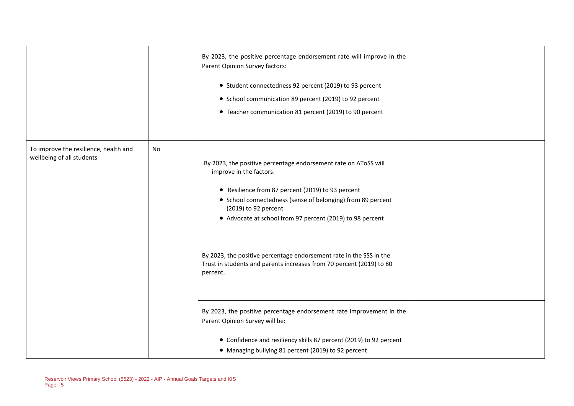|                                                                    |    | By 2023, the positive percentage endorsement rate will improve in the<br>Parent Opinion Survey factors:<br>• Student connectedness 92 percent (2019) to 93 percent<br>• School communication 89 percent (2019) to 92 percent<br>• Teacher communication 81 percent (2019) to 90 percent             |  |
|--------------------------------------------------------------------|----|-----------------------------------------------------------------------------------------------------------------------------------------------------------------------------------------------------------------------------------------------------------------------------------------------------|--|
| To improve the resilience, health and<br>wellbeing of all students | No | By 2023, the positive percentage endorsement rate on AToSS will<br>improve in the factors:<br>• Resilience from 87 percent (2019) to 93 percent<br>• School connectedness (sense of belonging) from 89 percent<br>(2019) to 92 percent<br>• Advocate at school from 97 percent (2019) to 98 percent |  |
|                                                                    |    | By 2023, the positive percentage endorsement rate in the SSS in the<br>Trust in students and parents increases from 70 percent (2019) to 80<br>percent.                                                                                                                                             |  |
|                                                                    |    | By 2023, the positive percentage endorsement rate improvement in the<br>Parent Opinion Survey will be:<br>• Confidence and resiliency skills 87 percent (2019) to 92 percent<br>• Managing bullying 81 percent (2019) to 92 percent                                                                 |  |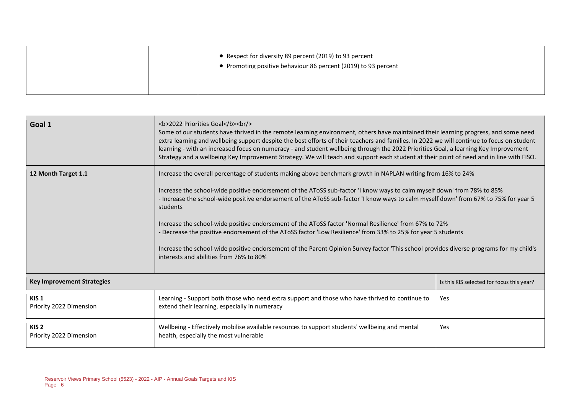| • Respect for diversity 89 percent (2019) to 93 percent<br>• Promoting positive behaviour 86 percent (2019) to 93 percent |  |
|---------------------------------------------------------------------------------------------------------------------------|--|
|                                                                                                                           |  |

| Goal 1                                      | <b>2022 Priorities Goal</b><br><br><br>Some of our students have thrived in the remote learning environment, others have maintained their learning progress, and some need<br>extra learning and wellbeing support despite the best efforts of their teachers and families. In 2022 we will continue to focus on student<br>learning - with an increased focus on numeracy - and student wellbeing through the 2022 Priorities Goal, a learning Key Improvement<br>Strategy and a wellbeing Key Improvement Strategy. We will teach and support each student at their point of need and in line with FISO.                                                                                                                                                                                                |                                           |  |  |  |
|---------------------------------------------|-----------------------------------------------------------------------------------------------------------------------------------------------------------------------------------------------------------------------------------------------------------------------------------------------------------------------------------------------------------------------------------------------------------------------------------------------------------------------------------------------------------------------------------------------------------------------------------------------------------------------------------------------------------------------------------------------------------------------------------------------------------------------------------------------------------|-------------------------------------------|--|--|--|
| 12 Month Target 1.1                         | Increase the overall percentage of students making above benchmark growth in NAPLAN writing from 16% to 24%<br>Increase the school-wide positive endorsement of the AToSS sub-factor 'I know ways to calm myself down' from 78% to 85%<br>- Increase the school-wide positive endorsement of the AToSS sub-factor 'I know ways to calm myself down' from 67% to 75% for year 5<br>students<br>Increase the school-wide positive endorsement of the AToSS factor 'Normal Resilience' from 67% to 72%<br>- Decrease the positive endorsement of the AToSS factor 'Low Resilience' from 33% to 25% for year 5 students<br>Increase the school-wide positive endorsement of the Parent Opinion Survey factor 'This school provides diverse programs for my child's<br>interests and abilities from 76% to 80% |                                           |  |  |  |
| <b>Key Improvement Strategies</b>           |                                                                                                                                                                                                                                                                                                                                                                                                                                                                                                                                                                                                                                                                                                                                                                                                           | Is this KIS selected for focus this year? |  |  |  |
| KIS <sub>1</sub><br>Priority 2022 Dimension | Learning - Support both those who need extra support and those who have thrived to continue to<br>extend their learning, especially in numeracy                                                                                                                                                                                                                                                                                                                                                                                                                                                                                                                                                                                                                                                           | Yes                                       |  |  |  |
| KIS <sub>2</sub><br>Priority 2022 Dimension | Wellbeing - Effectively mobilise available resources to support students' wellbeing and mental<br>health, especially the most vulnerable                                                                                                                                                                                                                                                                                                                                                                                                                                                                                                                                                                                                                                                                  | Yes                                       |  |  |  |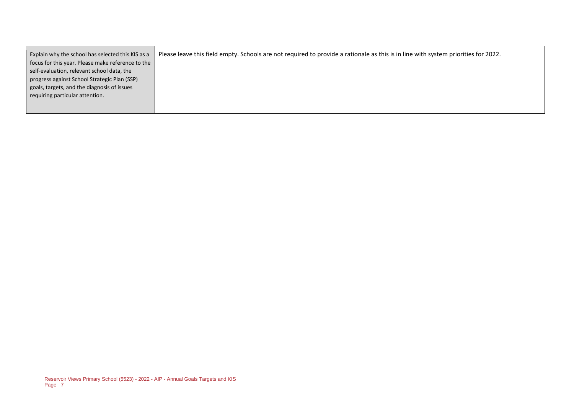| Explain why the school has selected this KIS as a | Please leave this field empty. Schools are not required to provide a rationale as this is in line with system priorities for 2022. |
|---------------------------------------------------|------------------------------------------------------------------------------------------------------------------------------------|
| focus for this year. Please make reference to the |                                                                                                                                    |
| self-evaluation, relevant school data, the        |                                                                                                                                    |
| progress against School Strategic Plan (SSP)      |                                                                                                                                    |
| goals, targets, and the diagnosis of issues       |                                                                                                                                    |
| requiring particular attention.                   |                                                                                                                                    |
|                                                   |                                                                                                                                    |
|                                                   |                                                                                                                                    |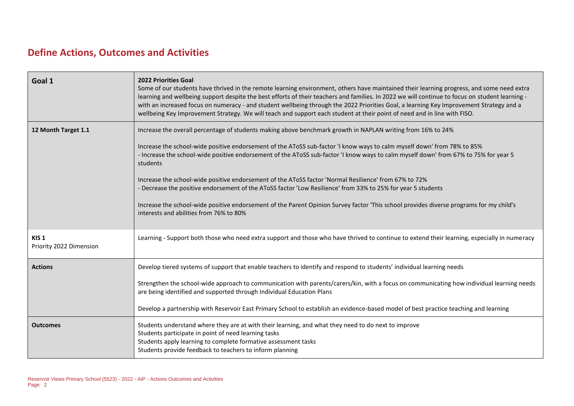## **Define Actions, Outcomes and Activities**

| Goal 1                                      | <b>2022 Priorities Goal</b><br>Some of our students have thrived in the remote learning environment, others have maintained their learning progress, and some need extra<br>learning and wellbeing support despite the best efforts of their teachers and families. In 2022 we will continue to focus on student learning -<br>with an increased focus on numeracy - and student wellbeing through the 2022 Priorities Goal, a learning Key Improvement Strategy and a<br>wellbeing Key Improvement Strategy. We will teach and support each student at their point of need and in line with FISO.                                                                                                                                                                                                        |
|---------------------------------------------|-----------------------------------------------------------------------------------------------------------------------------------------------------------------------------------------------------------------------------------------------------------------------------------------------------------------------------------------------------------------------------------------------------------------------------------------------------------------------------------------------------------------------------------------------------------------------------------------------------------------------------------------------------------------------------------------------------------------------------------------------------------------------------------------------------------|
| 12 Month Target 1.1                         | Increase the overall percentage of students making above benchmark growth in NAPLAN writing from 16% to 24%<br>Increase the school-wide positive endorsement of the AToSS sub-factor 'I know ways to calm myself down' from 78% to 85%<br>- Increase the school-wide positive endorsement of the AToSS sub-factor 'I know ways to calm myself down' from 67% to 75% for year 5<br>students<br>Increase the school-wide positive endorsement of the AToSS factor 'Normal Resilience' from 67% to 72%<br>- Decrease the positive endorsement of the AToSS factor 'Low Resilience' from 33% to 25% for year 5 students<br>Increase the school-wide positive endorsement of the Parent Opinion Survey factor 'This school provides diverse programs for my child's<br>interests and abilities from 76% to 80% |
| KIS <sub>1</sub><br>Priority 2022 Dimension | Learning - Support both those who need extra support and those who have thrived to continue to extend their learning, especially in numeracy                                                                                                                                                                                                                                                                                                                                                                                                                                                                                                                                                                                                                                                              |
| <b>Actions</b>                              | Develop tiered systems of support that enable teachers to identify and respond to students' individual learning needs<br>Strengthen the school-wide approach to communication with parents/carers/kin, with a focus on communicating how individual learning needs<br>are being identified and supported through Individual Education Plans<br>Develop a partnership with Reservoir East Primary School to establish an evidence-based model of best practice teaching and learning                                                                                                                                                                                                                                                                                                                       |
| <b>Outcomes</b>                             | Students understand where they are at with their learning, and what they need to do next to improve<br>Students participate in point of need learning tasks<br>Students apply learning to complete formative assessment tasks<br>Students provide feedback to teachers to inform planning                                                                                                                                                                                                                                                                                                                                                                                                                                                                                                                 |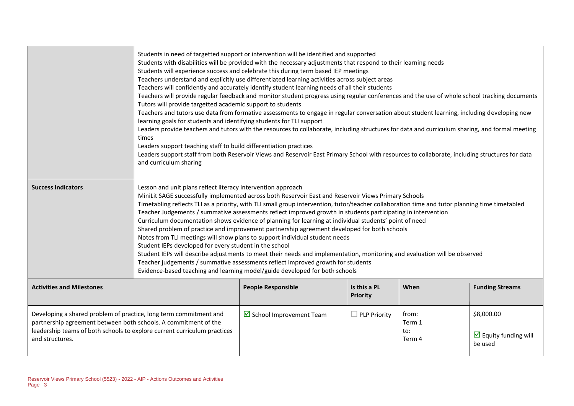|                                                                                                                                                                                                                                     | Students in need of targetted support or intervention will be identified and supported<br>Students with disabilities will be provided with the necessary adjustments that respond to their learning needs<br>Students will experience success and celebrate this during term based IEP meetings<br>Teachers understand and explicitly use differentiated learning activities across subject areas<br>Teachers will confidently and accurately identify student learning needs of all their students<br>Teachers will provide regular feedback and monitor student progress using regular conferences and the use of whole school tracking documents<br>Tutors will provide targetted academic support to students<br>Teachers and tutors use data from formative assessments to engage in regular conversation about student learning, including developing new<br>learning goals for students and identifying students for TLI support<br>Leaders provide teachers and tutors with the resources to collaborate, including structures for data and curriculum sharing, and formal meeting<br>times<br>Leaders support teaching staff to build differentiation practices<br>Leaders support staff from both Reservoir Views and Reservoir East Primary School with resources to collaborate, including structures for data<br>and curriculum sharing |                                          |                     |                                  |                                                     |
|-------------------------------------------------------------------------------------------------------------------------------------------------------------------------------------------------------------------------------------|------------------------------------------------------------------------------------------------------------------------------------------------------------------------------------------------------------------------------------------------------------------------------------------------------------------------------------------------------------------------------------------------------------------------------------------------------------------------------------------------------------------------------------------------------------------------------------------------------------------------------------------------------------------------------------------------------------------------------------------------------------------------------------------------------------------------------------------------------------------------------------------------------------------------------------------------------------------------------------------------------------------------------------------------------------------------------------------------------------------------------------------------------------------------------------------------------------------------------------------------------------------------------------------------------------------------------------------------------|------------------------------------------|---------------------|----------------------------------|-----------------------------------------------------|
| <b>Success Indicators</b>                                                                                                                                                                                                           | Lesson and unit plans reflect literacy intervention approach<br>MiniLit SAGE successfully implemented across both Reservoir East and Reservoir Views Primary Schools<br>Timetabling reflects TLI as a priority, with TLI small group intervention, tutor/teacher collaboration time and tutor planning time timetabled<br>Teacher Judgements / summative assessments reflect improved growth in students participating in intervention<br>Curriculum documentation shows evidence of planning for learning at individual students' point of need<br>Shared problem of practice and improvement partnership agreement developed for both schools<br>Notes from TLI meetings will show plans to support individual student needs<br>Student IEPs developed for every student in the school<br>Student IEPs will describe adjustments to meet their needs and implementation, monitoring and evaluation will be observed<br>Teacher judgements / summative assessments reflect improved growth for students<br>Evidence-based teaching and learning model/guide developed for both schools                                                                                                                                                                                                                                                              |                                          |                     |                                  |                                                     |
| Is this a PL<br><b>Activities and Milestones</b><br><b>People Responsible</b><br>When<br><b>Priority</b>                                                                                                                            |                                                                                                                                                                                                                                                                                                                                                                                                                                                                                                                                                                                                                                                                                                                                                                                                                                                                                                                                                                                                                                                                                                                                                                                                                                                                                                                                                      |                                          |                     |                                  | <b>Funding Streams</b>                              |
| Developing a shared problem of practice, long term commitment and<br>partnership agreement between both schools. A commitment of the<br>leadership teams of both schools to explore current curriculum practices<br>and structures. |                                                                                                                                                                                                                                                                                                                                                                                                                                                                                                                                                                                                                                                                                                                                                                                                                                                                                                                                                                                                                                                                                                                                                                                                                                                                                                                                                      | $\triangleright$ School Improvement Team | $\Box$ PLP Priority | from:<br>Term 1<br>to:<br>Term 4 | \$8,000.00<br>$\Box$ Equity funding will<br>be used |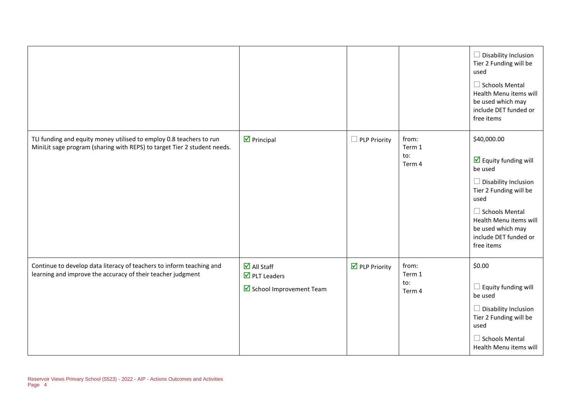|                                                                                                                                                 |                                                                                                     |                              |                                  | $\Box$ Disability Inclusion<br>Tier 2 Funding will be<br>used<br>$\Box$ Schools Mental<br>Health Menu items will<br>be used which may<br>include DET funded or<br>free items                                                                  |
|-------------------------------------------------------------------------------------------------------------------------------------------------|-----------------------------------------------------------------------------------------------------|------------------------------|----------------------------------|-----------------------------------------------------------------------------------------------------------------------------------------------------------------------------------------------------------------------------------------------|
| TLI funding and equity money utilised to employ 0.8 teachers to run<br>MiniLit sage program (sharing with REPS) to target Tier 2 student needs. | $\nabla$ Principal                                                                                  | PLP Priority<br>ш            | from:<br>Term 1<br>to:<br>Term 4 | \$40,000.00<br>$\triangledown$ Equity funding will<br>be used<br>$\Box$ Disability Inclusion<br>Tier 2 Funding will be<br>used<br>$\Box$ Schools Mental<br>Health Menu items will<br>be used which may<br>include DET funded or<br>free items |
| Continue to develop data literacy of teachers to inform teaching and<br>learning and improve the accuracy of their teacher judgment             | $\overline{\mathbf{M}}$ All Staff<br>$\overline{\mathbf{M}}$ PLT Leaders<br>School Improvement Team | $\triangledown$ PLP Priority | from:<br>Term 1<br>to:<br>Term 4 | \$0.00<br>$\Box$ Equity funding will<br>be used<br>$\Box$ Disability Inclusion<br>Tier 2 Funding will be<br>used<br>$\Box$ Schools Mental<br>Health Menu items will                                                                           |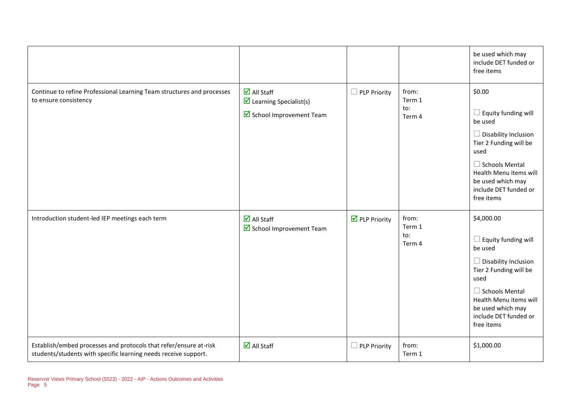|                                                                                                                                      |                                                                                                           |                              |                                  | be used which may<br>include DET funded or<br>free items                                                                                                                                                                            |
|--------------------------------------------------------------------------------------------------------------------------------------|-----------------------------------------------------------------------------------------------------------|------------------------------|----------------------------------|-------------------------------------------------------------------------------------------------------------------------------------------------------------------------------------------------------------------------------------|
| Continue to refine Professional Learning Team structures and processes<br>to ensure consistency                                      | $\overline{\blacksquare}$ All Staff<br>$\triangleright$ Learning Specialist(s)<br>School Improvement Team | <b>PLP Priority</b>          | from:<br>Term 1<br>to:<br>Term 4 | \$0.00<br>$\Box$ Equity funding will<br>be used<br>$\Box$ Disability Inclusion<br>Tier 2 Funding will be<br>used<br>$\Box$ Schools Mental<br>Health Menu items will<br>be used which may<br>include DET funded or<br>free items     |
| Introduction student-led IEP meetings each term                                                                                      | $\overline{\mathbf{M}}$ All Staff<br>School Improvement Team                                              | $\triangledown$ PLP Priority | from:<br>Term 1<br>to:<br>Term 4 | \$4,000.00<br>$\Box$ Equity funding will<br>be used<br>$\Box$ Disability Inclusion<br>Tier 2 Funding will be<br>used<br>$\Box$ Schools Mental<br>Health Menu items will<br>be used which may<br>include DET funded or<br>free items |
| Establish/embed processes and protocols that refer/ensure at-risk<br>students/students with specific learning needs receive support. | $\overline{\mathbf{M}}$ All Staff                                                                         | PLP Priority                 | from:<br>Term 1                  | \$1,000.00                                                                                                                                                                                                                          |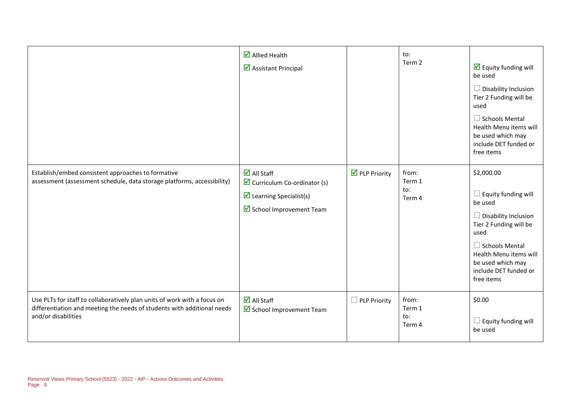|                                                                                                                                                                            | $\overline{\mathbf{M}}$ Allied Health<br>■ Assistant Principal                                                                                          |                                      | to:<br>Term 2                    | $\triangleright$ Equity funding will<br>be used<br>$\Box$ Disability Inclusion<br>Tier 2 Funding will be<br>used<br>$\Box$ Schools Mental<br>Health Menu items will<br>be used which may<br>include DET funded or<br>free items     |
|----------------------------------------------------------------------------------------------------------------------------------------------------------------------------|---------------------------------------------------------------------------------------------------------------------------------------------------------|--------------------------------------|----------------------------------|-------------------------------------------------------------------------------------------------------------------------------------------------------------------------------------------------------------------------------------|
| Establish/embed consistent approaches to formative<br>assessment (assessment schedule, data storage platforms, accessibility)                                              | $\overline{\mathbf{M}}$ All Staff<br>$\triangleright$ Curriculum Co-ordinator (s)<br>$\triangleright$ Learning Specialist(s)<br>School Improvement Team | $\overline{\mathbf{y}}$ PLP Priority | from:<br>Term 1<br>to:<br>Term 4 | \$2,000.00<br>$\Box$ Equity funding will<br>be used<br>$\Box$ Disability Inclusion<br>Tier 2 Funding will be<br>used<br>$\Box$ Schools Mental<br>Health Menu items will<br>be used which may<br>include DET funded or<br>free items |
| Use PLTs for staff to collaboratively plan units of work with a focus on<br>differentiation and meeting the needs of students with additional needs<br>and/or disabilities | $\overline{\mathbf{M}}$ All Staff<br>School Improvement Team                                                                                            | <b>PLP Priority</b>                  | from:<br>Term 1<br>to:<br>Term 4 | \$0.00<br>$\square$ Equity funding will<br>be used                                                                                                                                                                                  |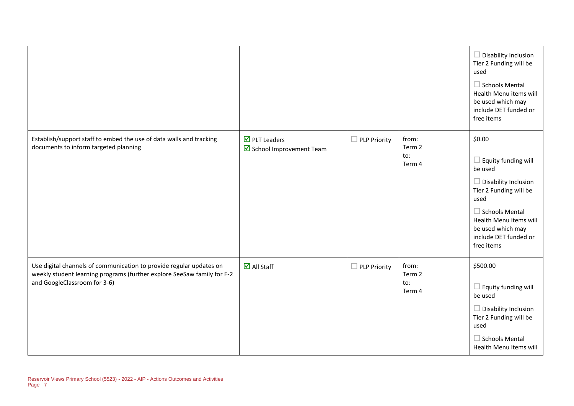|                                                                                                                                                                                |                                                                                 |                     |                                  | $\Box$ Disability Inclusion<br>Tier 2 Funding will be<br>used<br>$\Box$ Schools Mental<br>Health Menu items will<br>be used which may<br>include DET funded or<br>free items                                                    |
|--------------------------------------------------------------------------------------------------------------------------------------------------------------------------------|---------------------------------------------------------------------------------|---------------------|----------------------------------|---------------------------------------------------------------------------------------------------------------------------------------------------------------------------------------------------------------------------------|
| Establish/support staff to embed the use of data walls and tracking<br>documents to inform targeted planning                                                                   | $\overline{\mathbf{M}}$ PLT Leaders<br>$\triangleright$ School Improvement Team | <b>PLP Priority</b> | from:<br>Term 2<br>to:<br>Term 4 | \$0.00<br>$\Box$ Equity funding will<br>be used<br>$\Box$ Disability Inclusion<br>Tier 2 Funding will be<br>used<br>$\Box$ Schools Mental<br>Health Menu items will<br>be used which may<br>include DET funded or<br>free items |
| Use digital channels of communication to provide regular updates on<br>weekly student learning programs (further explore SeeSaw family for F-2<br>and GoogleClassroom for 3-6) | $\overline{\mathbf{M}}$ All Staff                                               | <b>PLP Priority</b> | from:<br>Term 2<br>to:<br>Term 4 | \$500.00<br>$\square$ Equity funding will<br>be used<br>$\Box$ Disability Inclusion<br>Tier 2 Funding will be<br>used<br>$\Box$ Schools Mental<br>Health Menu items will                                                        |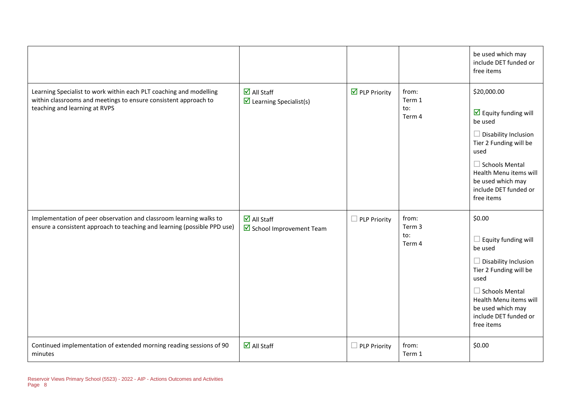|                                                                                                                                                                        |                                                                              |                              |                                  | be used which may<br>include DET funded or<br>free items                                                                                                                                                                                              |
|------------------------------------------------------------------------------------------------------------------------------------------------------------------------|------------------------------------------------------------------------------|------------------------------|----------------------------------|-------------------------------------------------------------------------------------------------------------------------------------------------------------------------------------------------------------------------------------------------------|
| Learning Specialist to work within each PLT coaching and modelling<br>within classrooms and meetings to ensure consistent approach to<br>teaching and learning at RVPS | $\overline{\mathbf{M}}$ All Staff<br>$\triangleright$ Learning Specialist(s) | $\triangledown$ PLP Priority | from:<br>Term 1<br>to:<br>Term 4 | \$20,000.00<br>$\overline{\mathbf{y}}$ Equity funding will<br>be used<br>$\Box$ Disability Inclusion<br>Tier 2 Funding will be<br>used<br>$\Box$ Schools Mental<br>Health Menu items will<br>be used which may<br>include DET funded or<br>free items |
| Implementation of peer observation and classroom learning walks to<br>ensure a consistent approach to teaching and learning (possible PPD use)                         | $\overline{\mathbf{M}}$ All Staff<br>School Improvement Team                 | $\Box$ PLP Priority          | from:<br>Term 3<br>to:<br>Term 4 | \$0.00<br>$\Box$ Equity funding will<br>be used<br>$\Box$ Disability Inclusion<br>Tier 2 Funding will be<br>used<br>$\Box$ Schools Mental<br>Health Menu items will<br>be used which may<br>include DET funded or<br>free items                       |
| Continued implementation of extended morning reading sessions of 90<br>minutes                                                                                         | $\overline{\mathbf{M}}$ All Staff                                            | $\Box$ PLP Priority          | from:<br>Term 1                  | \$0.00                                                                                                                                                                                                                                                |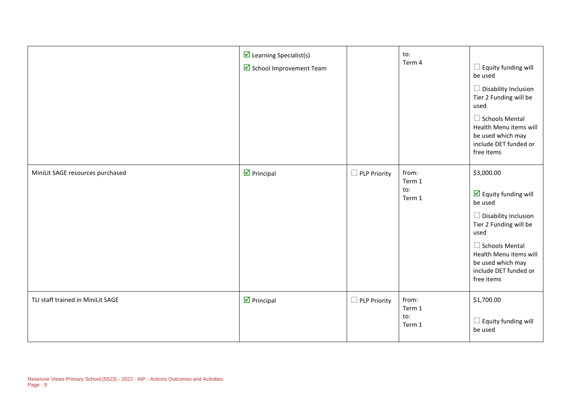|                                   | $\triangleright$ Learning Specialist(s)<br>School Improvement Team |                     | to:<br>Term 4                    | $\Box$ Equity funding will<br>be used<br>$\Box$ Disability Inclusion<br>Tier 2 Funding will be<br>used<br>$\Box$ Schools Mental<br>Health Menu items will<br>be used which may<br>include DET funded or<br>free items                                |
|-----------------------------------|--------------------------------------------------------------------|---------------------|----------------------------------|------------------------------------------------------------------------------------------------------------------------------------------------------------------------------------------------------------------------------------------------------|
| MiniLit SAGE resources purchased  | $\triangledown$ Principal                                          | $\Box$ PLP Priority | from:<br>Term 1<br>to:<br>Term 1 | \$3,000.00<br>$\overline{\mathbf{M}}$ Equity funding will<br>be used<br>$\Box$ Disability Inclusion<br>Tier 2 Funding will be<br>used<br>$\Box$ Schools Mental<br>Health Menu items will<br>be used which may<br>include DET funded or<br>free items |
| TLI staff trained in MiniLit SAGE | $\nabla$ Principal                                                 | $\Box$ PLP Priority | from:<br>Term 1<br>to:<br>Term 1 | \$1,700.00<br>$\Box$ Equity funding will<br>be used                                                                                                                                                                                                  |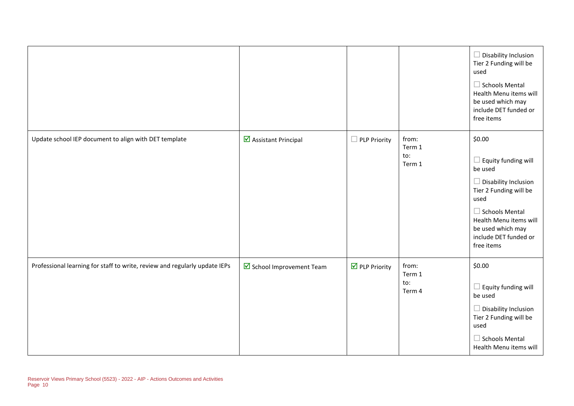|                                                                            |                         |                              |                                  | $\Box$ Disability Inclusion<br>Tier 2 Funding will be<br>used<br>$\Box$ Schools Mental<br>Health Menu items will<br>be used which may<br>include DET funded or<br>free items                                                    |
|----------------------------------------------------------------------------|-------------------------|------------------------------|----------------------------------|---------------------------------------------------------------------------------------------------------------------------------------------------------------------------------------------------------------------------------|
| Update school IEP document to align with DET template                      | Assistant Principal     | $\Box$ PLP Priority          | from:<br>Term 1<br>to:<br>Term 1 | \$0.00<br>$\Box$ Equity funding will<br>be used<br>$\Box$ Disability Inclusion<br>Tier 2 Funding will be<br>used<br>$\Box$ Schools Mental<br>Health Menu items will<br>be used which may<br>include DET funded or<br>free items |
| Professional learning for staff to write, review and regularly update IEPs | School Improvement Team | $\triangledown$ PLP Priority | from:<br>Term 1<br>to:<br>Term 4 | \$0.00<br>$\Box$ Equity funding will<br>be used<br>$\Box$ Disability Inclusion<br>Tier 2 Funding will be<br>used<br>$\Box$ Schools Mental<br>Health Menu items will                                                             |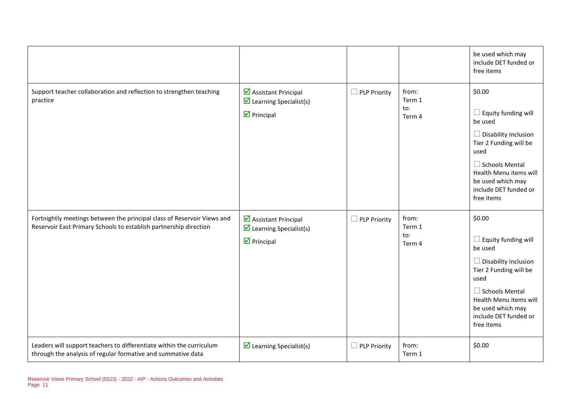|                                                                                                                                              |                                                                                                       |                     |                                  | be used which may<br>include DET funded or<br>free items                                                                                                                                                                        |
|----------------------------------------------------------------------------------------------------------------------------------------------|-------------------------------------------------------------------------------------------------------|---------------------|----------------------------------|---------------------------------------------------------------------------------------------------------------------------------------------------------------------------------------------------------------------------------|
| Support teacher collaboration and reflection to strengthen teaching<br>practice                                                              | ■ Assistant Principal<br>$\overline{\mathbf{y}}$ Learning Specialist(s)<br>$\triangleright$ Principal | <b>PLP Priority</b> | from:<br>Term 1<br>to:<br>Term 4 | \$0.00<br>$\Box$ Equity funding will<br>be used<br>$\Box$ Disability Inclusion<br>Tier 2 Funding will be<br>used<br>$\Box$ Schools Mental<br>Health Menu items will<br>be used which may<br>include DET funded or<br>free items |
| Fortnightly meetings between the principal class of Reservoir Views and<br>Reservoir East Primary Schools to establish partnership direction | ■ Assistant Principal<br>$\triangleright$ Learning Specialist(s)<br>$\triangleright$ Principal        | PLP Priority        | from:<br>Term 1<br>to:<br>Term 4 | \$0.00<br>$\Box$ Equity funding will<br>be used<br>$\Box$ Disability Inclusion<br>Tier 2 Funding will be<br>used<br>$\Box$ Schools Mental<br>Health Menu items will<br>be used which may<br>include DET funded or<br>free items |
| Leaders will support teachers to differentiate within the curriculum<br>through the analysis of regular formative and summative data         | $\triangleright$ Learning Specialist(s)                                                               | <b>PLP Priority</b> | from:<br>Term 1                  | \$0.00                                                                                                                                                                                                                          |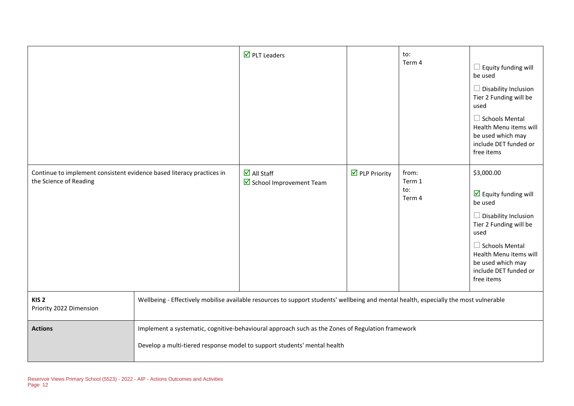|                                                                                                 |                                                                                                                                                                              | $\overline{\mathbf{M}}$ PLT Leaders                            |                              | to:<br>Term 4                    | $\Box$ Equity funding will<br>be used<br>Disability Inclusion<br>$\Box$<br>Tier 2 Funding will be<br>used<br>$\Box$ Schools Mental<br>Health Menu items will<br>be used which may<br>include DET funded or<br>free items                     |
|-------------------------------------------------------------------------------------------------|------------------------------------------------------------------------------------------------------------------------------------------------------------------------------|----------------------------------------------------------------|------------------------------|----------------------------------|----------------------------------------------------------------------------------------------------------------------------------------------------------------------------------------------------------------------------------------------|
| Continue to implement consistent evidence based literacy practices in<br>the Science of Reading |                                                                                                                                                                              | $\overline{\blacksquare}$ All Staff<br>School Improvement Team | $\triangledown$ PLP Priority | from:<br>Term 1<br>to:<br>Term 4 | \$3,000.00<br>$\triangledown$ Equity funding will<br>be used<br>$\Box$ Disability Inclusion<br>Tier 2 Funding will be<br>used<br>$\Box$ Schools Mental<br>Health Menu items will<br>be used which may<br>include DET funded or<br>free items |
| KIS <sub>2</sub><br>Priority 2022 Dimension                                                     | Wellbeing - Effectively mobilise available resources to support students' wellbeing and mental health, especially the most vulnerable                                        |                                                                |                              |                                  |                                                                                                                                                                                                                                              |
| <b>Actions</b>                                                                                  | Implement a systematic, cognitive-behavioural approach such as the Zones of Regulation framework<br>Develop a multi-tiered response model to support students' mental health |                                                                |                              |                                  |                                                                                                                                                                                                                                              |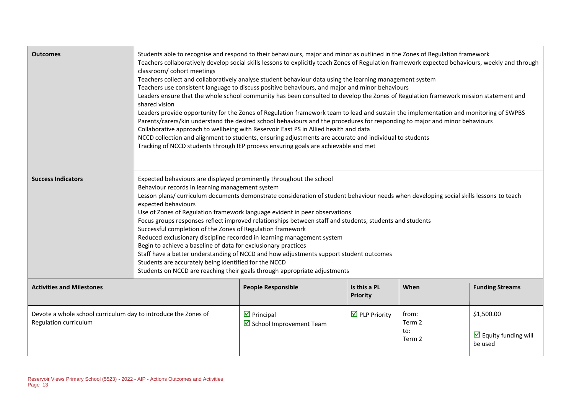| <b>Outcomes</b>                                                                         | Students able to recognise and respond to their behaviours, major and minor as outlined in the Zones of Regulation framework<br>Teachers collaboratively develop social skills lessons to explicitly teach Zones of Regulation framework expected behaviours, weekly and through<br>classroom/ cohort meetings<br>Teachers collect and collaboratively analyse student behaviour data using the learning management system<br>Teachers use consistent language to discuss positive behaviours, and major and minor behaviours<br>Leaders ensure that the whole school community has been consulted to develop the Zones of Regulation framework mission statement and<br>shared vision<br>Leaders provide opportunity for the Zones of Regulation framework team to lead and sustain the implementation and monitoring of SWPBS<br>Parents/carers/kin understand the desired school behaviours and the procedures for responding to major and minor behaviours<br>Collaborative approach to wellbeing with Reservoir East PS in Allied health and data<br>NCCD collection and alignment to students, ensuring adjustments are accurate and individual to students<br>Tracking of NCCD students through IEP process ensuring goals are achievable and met |                                                                               |                                      |                                  |                                                              |
|-----------------------------------------------------------------------------------------|----------------------------------------------------------------------------------------------------------------------------------------------------------------------------------------------------------------------------------------------------------------------------------------------------------------------------------------------------------------------------------------------------------------------------------------------------------------------------------------------------------------------------------------------------------------------------------------------------------------------------------------------------------------------------------------------------------------------------------------------------------------------------------------------------------------------------------------------------------------------------------------------------------------------------------------------------------------------------------------------------------------------------------------------------------------------------------------------------------------------------------------------------------------------------------------------------------------------------------------------------------|-------------------------------------------------------------------------------|--------------------------------------|----------------------------------|--------------------------------------------------------------|
| <b>Success Indicators</b>                                                               | Expected behaviours are displayed prominently throughout the school<br>Behaviour records in learning management system<br>Lesson plans/ curriculum documents demonstrate consideration of student behaviour needs when developing social skills lessons to teach<br>expected behaviours<br>Use of Zones of Regulation framework language evident in peer observations<br>Focus groups responses reflect improved relationships between staff and students, students and students<br>Successful completion of the Zones of Regulation framework<br>Reduced exclusionary discipline recorded in learning management system<br>Begin to achieve a baseline of data for exclusionary practices<br>Staff have a better understanding of NCCD and how adjustments support student outcomes<br>Students are accurately being identified for the NCCD<br>Students on NCCD are reaching their goals through appropriate adjustments                                                                                                                                                                                                                                                                                                                               |                                                                               |                                      |                                  |                                                              |
| <b>Activities and Milestones</b>                                                        | <b>People Responsible</b><br>Is this a PL<br>When<br><b>Funding Streams</b><br><b>Priority</b>                                                                                                                                                                                                                                                                                                                                                                                                                                                                                                                                                                                                                                                                                                                                                                                                                                                                                                                                                                                                                                                                                                                                                           |                                                                               |                                      |                                  |                                                              |
| Devote a whole school curriculum day to introduce the Zones of<br>Regulation curriculum |                                                                                                                                                                                                                                                                                                                                                                                                                                                                                                                                                                                                                                                                                                                                                                                                                                                                                                                                                                                                                                                                                                                                                                                                                                                          | $\overline{\mathbf{y}}$ Principal<br>$\triangleright$ School Improvement Team | $\overline{\mathbf{y}}$ PLP Priority | from:<br>Term 2<br>to:<br>Term 2 | \$1,500.00<br>$\triangledown$ Equity funding will<br>be used |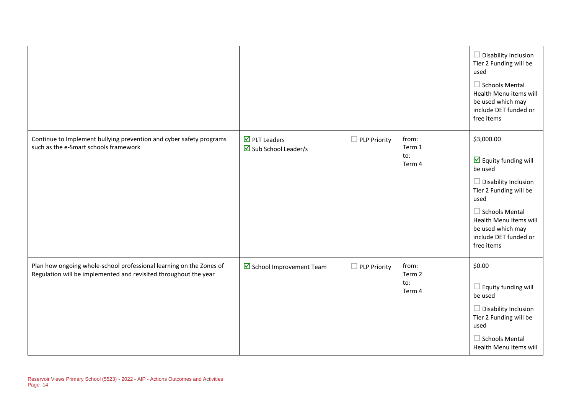|                                                                                                                                         |                                                                                    |                          |                                  | $\Box$ Disability Inclusion<br>Tier 2 Funding will be<br>used<br>$\Box$ Schools Mental<br>Health Menu items will<br>be used which may<br>include DET funded or<br>free items                                                                         |
|-----------------------------------------------------------------------------------------------------------------------------------------|------------------------------------------------------------------------------------|--------------------------|----------------------------------|------------------------------------------------------------------------------------------------------------------------------------------------------------------------------------------------------------------------------------------------------|
| Continue to Implement bullying prevention and cyber safety programs<br>such as the e-Smart schools framework                            | $\overline{\mathbf{M}}$ PLT Leaders<br>$\overline{\mathbf{M}}$ Sub School Leader/s | <b>PLP Priority</b><br>П | from:<br>Term 1<br>to:<br>Term 4 | \$3,000.00<br>$\overline{\mathbf{y}}$ Equity funding will<br>be used<br>$\Box$ Disability Inclusion<br>Tier 2 Funding will be<br>used<br>$\Box$ Schools Mental<br>Health Menu items will<br>be used which may<br>include DET funded or<br>free items |
| Plan how ongoing whole-school professional learning on the Zones of<br>Regulation will be implemented and revisited throughout the year | School Improvement Team                                                            | <b>PLP Priority</b>      | from:<br>Term 2<br>to:<br>Term 4 | \$0.00<br>$\Box$ Equity funding will<br>be used<br>$\Box$ Disability Inclusion<br>Tier 2 Funding will be<br>used<br>$\Box$ Schools Mental<br>Health Menu items will                                                                                  |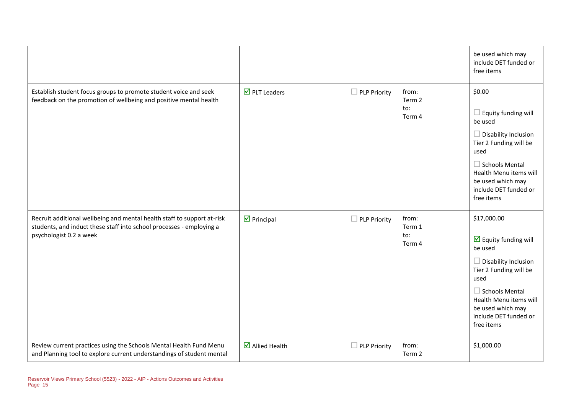|                                                                                                                                                                            |                                       |                     |                                  | be used which may<br>include DET funded or<br>free items                                                                                                                                                                                              |
|----------------------------------------------------------------------------------------------------------------------------------------------------------------------------|---------------------------------------|---------------------|----------------------------------|-------------------------------------------------------------------------------------------------------------------------------------------------------------------------------------------------------------------------------------------------------|
| Establish student focus groups to promote student voice and seek<br>feedback on the promotion of wellbeing and positive mental health                                      | $\overline{\mathbf{M}}$ PLT Leaders   | $\Box$ PLP Priority | from:<br>Term 2<br>to:<br>Term 4 | \$0.00<br>$\Box$ Equity funding will<br>be used<br>$\Box$ Disability Inclusion<br>Tier 2 Funding will be<br>used<br>$\Box$ Schools Mental<br>Health Menu items will<br>be used which may<br>include DET funded or<br>free items                       |
| Recruit additional wellbeing and mental health staff to support at-risk<br>students, and induct these staff into school processes - employing a<br>psychologist 0.2 a week | $\triangledown$ Principal             | $\Box$ PLP Priority | from:<br>Term 1<br>to:<br>Term 4 | \$17,000.00<br>$\overline{\mathbf{y}}$ Equity funding will<br>be used<br>$\Box$ Disability Inclusion<br>Tier 2 Funding will be<br>used<br>$\Box$ Schools Mental<br>Health Menu items will<br>be used which may<br>include DET funded or<br>free items |
| Review current practices using the Schools Mental Health Fund Menu<br>and Planning tool to explore current understandings of student mental                                | $\overline{\mathbf{M}}$ Allied Health | $\Box$ PLP Priority | from:<br>Term 2                  | \$1,000.00                                                                                                                                                                                                                                            |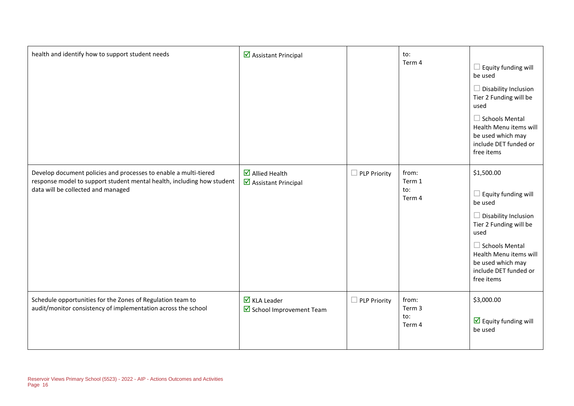| health and identify how to support student needs                                                                                                                                 | Assistant Principal                                          |                     | to:<br>Term 4                    | $\Box$ Equity funding will<br>be used<br>$\Box$ Disability Inclusion<br>Tier 2 Funding will be<br>used<br>$\Box$ Schools Mental<br>Health Menu items will<br>be used which may<br>include DET funded or<br>free items               |
|----------------------------------------------------------------------------------------------------------------------------------------------------------------------------------|--------------------------------------------------------------|---------------------|----------------------------------|-------------------------------------------------------------------------------------------------------------------------------------------------------------------------------------------------------------------------------------|
| Develop document policies and processes to enable a multi-tiered<br>response model to support student mental health, including how student<br>data will be collected and managed | $\overline{\mathbf{M}}$ Allied Health<br>Assistant Principal | $\Box$ PLP Priority | from:<br>Term 1<br>to:<br>Term 4 | \$1,500.00<br>$\Box$ Equity funding will<br>be used<br>$\Box$ Disability Inclusion<br>Tier 2 Funding will be<br>used<br>$\Box$ Schools Mental<br>Health Menu items will<br>be used which may<br>include DET funded or<br>free items |
| Schedule opportunities for the Zones of Regulation team to<br>audit/monitor consistency of implementation across the school                                                      | $\triangledown$ KLA Leader<br>School Improvement Team        | $\Box$ PLP Priority | from:<br>Term 3<br>to:<br>Term 4 | \$3,000.00<br>$\overline{\mathbf{y}}$ Equity funding will<br>be used                                                                                                                                                                |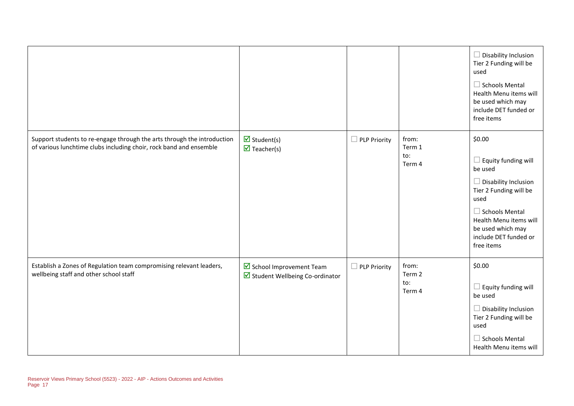|                                                                                                                                               |                                                           |                     |                                  | $\Box$ Disability Inclusion<br>Tier 2 Funding will be<br>used<br>$\Box$ Schools Mental<br>Health Menu items will<br>be used which may<br>include DET funded or<br>free items                                                    |
|-----------------------------------------------------------------------------------------------------------------------------------------------|-----------------------------------------------------------|---------------------|----------------------------------|---------------------------------------------------------------------------------------------------------------------------------------------------------------------------------------------------------------------------------|
| Support students to re-engage through the arts through the introduction<br>of various lunchtime clubs including choir, rock band and ensemble | $\triangledown$ Student(s)<br>$\triangledown$ Teacher(s)  | $\Box$ PLP Priority | from:<br>Term 1<br>to:<br>Term 4 | \$0.00<br>$\Box$ Equity funding will<br>be used<br>$\Box$ Disability Inclusion<br>Tier 2 Funding will be<br>used<br>$\Box$ Schools Mental<br>Health Menu items will<br>be used which may<br>include DET funded or<br>free items |
| Establish a Zones of Regulation team compromising relevant leaders,<br>wellbeing staff and other school staff                                 | School Improvement Team<br>Student Wellbeing Co-ordinator | $\Box$ PLP Priority | from:<br>Term 2<br>to:<br>Term 4 | \$0.00<br>$\Box$ Equity funding will<br>be used<br>$\Box$ Disability Inclusion<br>Tier 2 Funding will be<br>used<br>$\Box$ Schools Mental<br>Health Menu items will                                                             |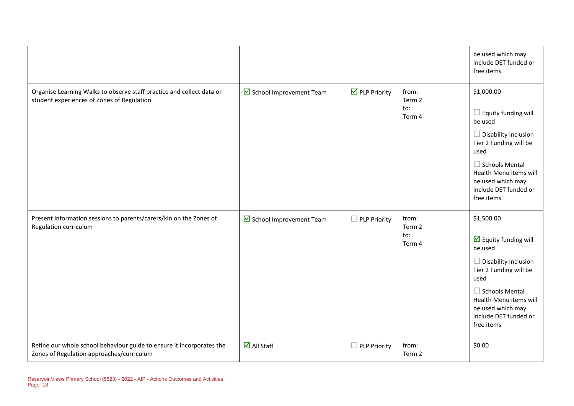|                                                                                                                     |                                          |                              |                                  | be used which may<br>include DET funded or<br>free items                                                                                                                                                                                             |
|---------------------------------------------------------------------------------------------------------------------|------------------------------------------|------------------------------|----------------------------------|------------------------------------------------------------------------------------------------------------------------------------------------------------------------------------------------------------------------------------------------------|
| Organise Learning Walks to observe staff practice and collect data on<br>student experiences of Zones of Regulation | $\triangleright$ School Improvement Team | $\triangledown$ PLP Priority | from:<br>Term 2<br>to:<br>Term 4 | \$1,000.00<br>$\Box$ Equity funding will<br>be used<br>$\Box$ Disability Inclusion<br>Tier 2 Funding will be<br>used<br>$\Box$ Schools Mental<br>Health Menu items will<br>be used which may<br>include DET funded or<br>free items                  |
| Present information sessions to parents/carers/kin on the Zones of<br>Regulation curriculum                         | $\triangleright$ School Improvement Team | $\Box$ PLP Priority          | from:<br>Term 2<br>to:<br>Term 4 | \$1,500.00<br>$\overline{\mathbf{y}}$ Equity funding will<br>be used<br>$\Box$ Disability Inclusion<br>Tier 2 Funding will be<br>used<br>$\Box$ Schools Mental<br>Health Menu items will<br>be used which may<br>include DET funded or<br>free items |
| Refine our whole school behaviour guide to ensure it incorporates the<br>Zones of Regulation approaches/curriculum  | $\overline{\mathbf{M}}$ All Staff        | $\Box$ PLP Priority          | from:<br>Term 2                  | \$0.00                                                                                                                                                                                                                                               |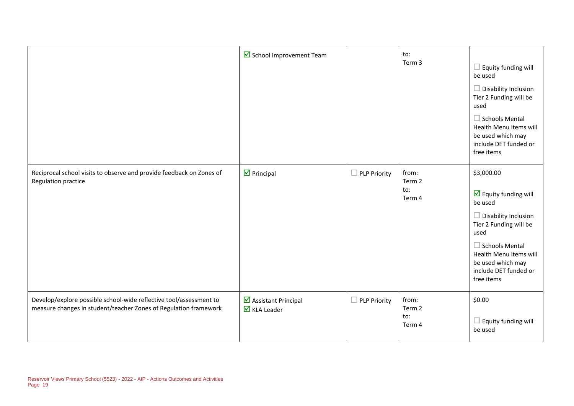|                                                                                                                                        | School Improvement Team                                     |                     | to:<br>Term 3                    | $\Box$ Equity funding will<br>be used<br>$\Box$ Disability Inclusion<br>Tier 2 Funding will be<br>used<br>$\Box$ Schools Mental<br>Health Menu items will<br>be used which may<br>include DET funded or<br>free items                         |
|----------------------------------------------------------------------------------------------------------------------------------------|-------------------------------------------------------------|---------------------|----------------------------------|-----------------------------------------------------------------------------------------------------------------------------------------------------------------------------------------------------------------------------------------------|
| Reciprocal school visits to observe and provide feedback on Zones of<br>Regulation practice                                            | $\nabla$ Principal                                          | $\Box$ PLP Priority | from:<br>Term 2<br>to:<br>Term 4 | \$3,000.00<br>$\overline{\mathbf{y}}$ Equity funding will<br>be used<br>Disability Inclusion<br>Tier 2 Funding will be<br>used<br>$\Box$ Schools Mental<br>Health Menu items will<br>be used which may<br>include DET funded or<br>free items |
| Develop/explore possible school-wide reflective tool/assessment to<br>measure changes in student/teacher Zones of Regulation framework | ☑ Assistant Principal<br>$\overline{\mathbf{M}}$ KLA Leader | $\Box$ PLP Priority | from:<br>Term 2<br>to:<br>Term 4 | \$0.00<br>Equity funding will<br>be used                                                                                                                                                                                                      |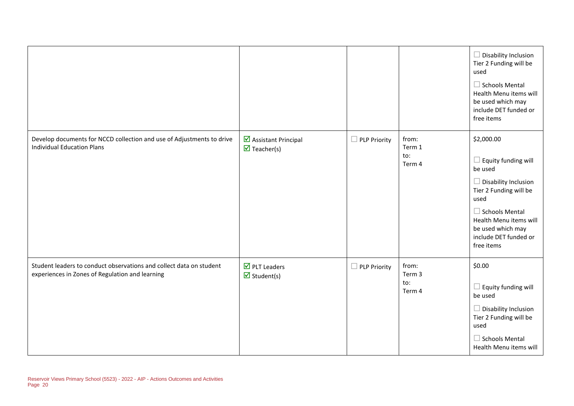|                                                                                                                        |                                                    |                        |                                  | $\Box$ Disability Inclusion<br>Tier 2 Funding will be<br>used<br>$\Box$ Schools Mental<br>Health Menu items will<br>be used which may<br>include DET funded or<br>free items                                                        |
|------------------------------------------------------------------------------------------------------------------------|----------------------------------------------------|------------------------|----------------------------------|-------------------------------------------------------------------------------------------------------------------------------------------------------------------------------------------------------------------------------------|
| Develop documents for NCCD collection and use of Adjustments to drive<br><b>Individual Education Plans</b>             | Assistant Principal<br>$\triangledown$ Teacher(s)  | PLP Priority<br>$\Box$ | from:<br>Term 1<br>to:<br>Term 4 | \$2,000.00<br>$\Box$ Equity funding will<br>be used<br>$\Box$ Disability Inclusion<br>Tier 2 Funding will be<br>used<br>$\Box$ Schools Mental<br>Health Menu items will<br>be used which may<br>include DET funded or<br>free items |
| Student leaders to conduct observations and collect data on student<br>experiences in Zones of Regulation and learning | $\nabla$ PLT Leaders<br>$\triangledown$ Student(s) | PLP Priority           | from:<br>Term 3<br>to:<br>Term 4 | \$0.00<br>$\Box$ Equity funding will<br>be used<br>$\Box$ Disability Inclusion<br>Tier 2 Funding will be<br>used<br>$\Box$ Schools Mental<br>Health Menu items will                                                                 |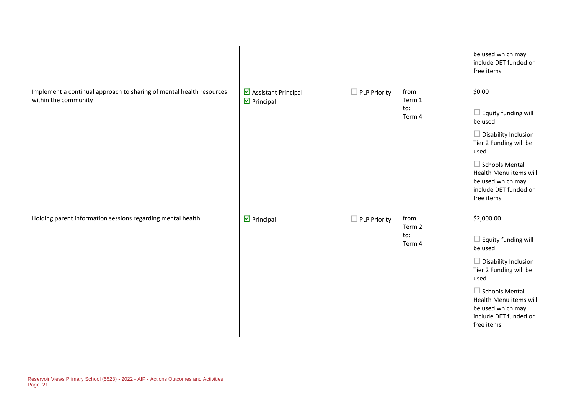|                                                                                              |                                           |                          |                                  | be used which may<br>include DET funded or<br>free items                                                                                                                                                                            |
|----------------------------------------------------------------------------------------------|-------------------------------------------|--------------------------|----------------------------------|-------------------------------------------------------------------------------------------------------------------------------------------------------------------------------------------------------------------------------------|
| Implement a continual approach to sharing of mental health resources<br>within the community | Assistant Principal<br>$\nabla$ Principal | □<br><b>PLP Priority</b> | from:<br>Term 1<br>to:<br>Term 4 | \$0.00<br>$\Box$ Equity funding will<br>be used<br>$\Box$ Disability Inclusion<br>Tier 2 Funding will be<br>used<br>$\Box$ Schools Mental<br>Health Menu items will<br>be used which may<br>include DET funded or<br>free items     |
| Holding parent information sessions regarding mental health                                  | $\nabla$ Principal                        | <b>PLP Priority</b>      | from:<br>Term 2<br>to:<br>Term 4 | \$2,000.00<br>$\Box$ Equity funding will<br>be used<br>$\Box$ Disability Inclusion<br>Tier 2 Funding will be<br>used<br>$\Box$ Schools Mental<br>Health Menu items will<br>be used which may<br>include DET funded or<br>free items |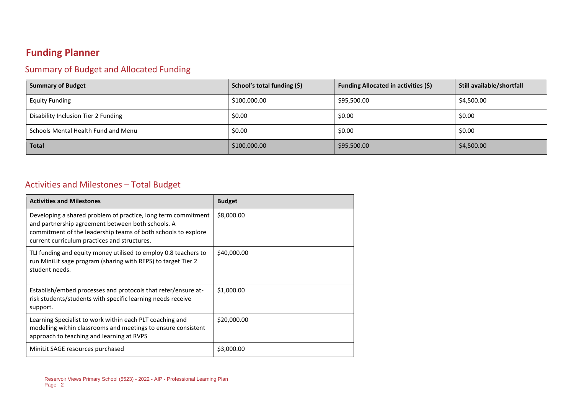### **Funding Planner**

#### Summary of Budget and Allocated Funding

| <b>Summary of Budget</b>            | School's total funding (\$) | <b>Funding Allocated in activities (\$)</b> | Still available/shortfall |
|-------------------------------------|-----------------------------|---------------------------------------------|---------------------------|
| <b>Equity Funding</b>               | \$100,000.00                | \$95,500.00                                 | \$4,500.00                |
| Disability Inclusion Tier 2 Funding | \$0.00                      | \$0.00                                      | \$0.00                    |
| Schools Mental Health Fund and Menu | \$0.00                      | \$0.00                                      | \$0.00                    |
| <b>Total</b>                        | \$100,000.00                | \$95,500.00                                 | \$4,500.00                |

#### Activities and Milestones – Total Budget

| <b>Activities and Milestones</b>                                                                                                                                                                                                    | <b>Budget</b> |
|-------------------------------------------------------------------------------------------------------------------------------------------------------------------------------------------------------------------------------------|---------------|
| Developing a shared problem of practice, long term commitment<br>and partnership agreement between both schools. A<br>commitment of the leadership teams of both schools to explore<br>current curriculum practices and structures. | \$8,000.00    |
| TLI funding and equity money utilised to employ 0.8 teachers to<br>run MiniLit sage program (sharing with REPS) to target Tier 2<br>student needs.                                                                                  | \$40,000.00   |
| Establish/embed processes and protocols that refer/ensure at-<br>risk students/students with specific learning needs receive<br>support.                                                                                            | \$1,000.00    |
| Learning Specialist to work within each PLT coaching and<br>modelling within classrooms and meetings to ensure consistent<br>approach to teaching and learning at RVPS                                                              | \$20,000.00   |
| MiniLit SAGE resources purchased                                                                                                                                                                                                    | \$3,000.00    |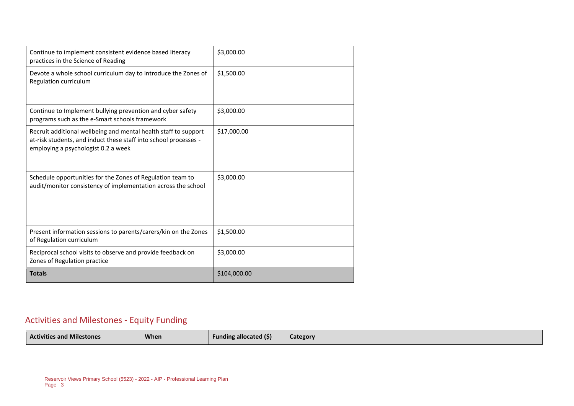| Continue to implement consistent evidence based literacy<br>practices in the Science of Reading                                                                            | \$3,000.00   |
|----------------------------------------------------------------------------------------------------------------------------------------------------------------------------|--------------|
| Devote a whole school curriculum day to introduce the Zones of<br>Regulation curriculum                                                                                    | \$1,500.00   |
| Continue to Implement bullying prevention and cyber safety<br>programs such as the e-Smart schools framework                                                               | \$3,000.00   |
| Recruit additional wellbeing and mental health staff to support<br>at-risk students, and induct these staff into school processes -<br>employing a psychologist 0.2 a week | \$17,000.00  |
| Schedule opportunities for the Zones of Regulation team to<br>audit/monitor consistency of implementation across the school                                                | \$3,000.00   |
| Present information sessions to parents/carers/kin on the Zones<br>of Regulation curriculum                                                                                | \$1,500.00   |
| Reciprocal school visits to observe and provide feedback on<br>Zones of Regulation practice                                                                                | \$3,000.00   |
| <b>Totals</b>                                                                                                                                                              | \$104,000.00 |

#### Activities and Milestones - Equity Funding

| <b>Activities and Milestones</b> | <b>When</b> | <b>Funding allocated (\$)</b> | Category |
|----------------------------------|-------------|-------------------------------|----------|
|                                  |             |                               |          |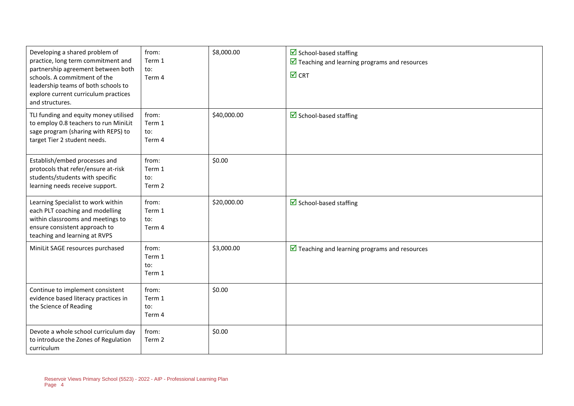| Developing a shared problem of<br>practice, long term commitment and<br>partnership agreement between both<br>schools. A commitment of the<br>leadership teams of both schools to<br>explore current curriculum practices<br>and structures. | from:<br>Term 1<br>to:<br>Term 4 | \$8,000.00  | $\triangleright$ School-based staffing<br>$\triangleright$ Teaching and learning programs and resources<br>$\boxtimes$ CRT |
|----------------------------------------------------------------------------------------------------------------------------------------------------------------------------------------------------------------------------------------------|----------------------------------|-------------|----------------------------------------------------------------------------------------------------------------------------|
| TLI funding and equity money utilised<br>to employ 0.8 teachers to run MiniLit<br>sage program (sharing with REPS) to<br>target Tier 2 student needs.                                                                                        | from:<br>Term 1<br>to:<br>Term 4 | \$40,000.00 | $\triangleright$ School-based staffing                                                                                     |
| Establish/embed processes and<br>protocols that refer/ensure at-risk<br>students/students with specific<br>learning needs receive support.                                                                                                   | from:<br>Term 1<br>to:<br>Term 2 | \$0.00      |                                                                                                                            |
| Learning Specialist to work within<br>each PLT coaching and modelling<br>within classrooms and meetings to<br>ensure consistent approach to<br>teaching and learning at RVPS                                                                 | from:<br>Term 1<br>to:<br>Term 4 | \$20,000.00 | $\triangledown$ School-based staffing                                                                                      |
| MiniLit SAGE resources purchased                                                                                                                                                                                                             | from:<br>Term 1<br>to:<br>Term 1 | \$3,000.00  | $\triangleright$ Teaching and learning programs and resources                                                              |
| Continue to implement consistent<br>evidence based literacy practices in<br>the Science of Reading                                                                                                                                           | from:<br>Term 1<br>to:<br>Term 4 | \$0.00      |                                                                                                                            |
| Devote a whole school curriculum day<br>to introduce the Zones of Regulation<br>curriculum                                                                                                                                                   | from:<br>Term 2                  | \$0.00      |                                                                                                                            |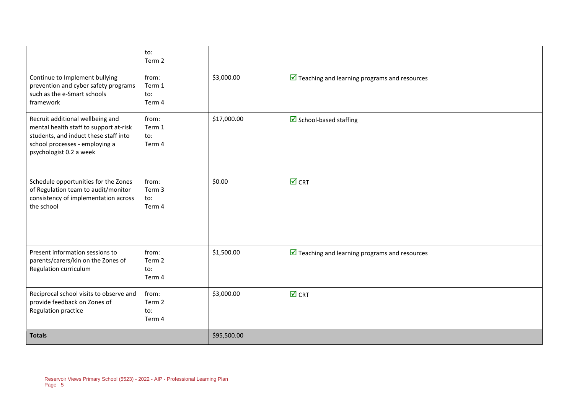|                                                                                                                                                                                  | to:<br>Term 2                    |             |                                                               |
|----------------------------------------------------------------------------------------------------------------------------------------------------------------------------------|----------------------------------|-------------|---------------------------------------------------------------|
| Continue to Implement bullying<br>prevention and cyber safety programs<br>such as the e-Smart schools<br>framework                                                               | from:<br>Term 1<br>to:<br>Term 4 | \$3,000.00  | $\triangleright$ Teaching and learning programs and resources |
| Recruit additional wellbeing and<br>mental health staff to support at-risk<br>students, and induct these staff into<br>school processes - employing a<br>psychologist 0.2 a week | from:<br>Term 1<br>to:<br>Term 4 | \$17,000.00 | $\triangleright$ School-based staffing                        |
| Schedule opportunities for the Zones<br>of Regulation team to audit/monitor<br>consistency of implementation across<br>the school                                                | from:<br>Term 3<br>to:<br>Term 4 | \$0.00      | $\overline{\blacksquare}$ CRT                                 |
| Present information sessions to<br>parents/carers/kin on the Zones of<br>Regulation curriculum                                                                                   | from:<br>Term 2<br>to:<br>Term 4 | \$1,500.00  | $\triangleright$ Teaching and learning programs and resources |
| Reciprocal school visits to observe and<br>provide feedback on Zones of<br>Regulation practice                                                                                   | from:<br>Term 2<br>to:<br>Term 4 | \$3,000.00  | $\overline{\mathsf{M}}$ CRT                                   |
| <b>Totals</b>                                                                                                                                                                    |                                  | \$95,500.00 |                                                               |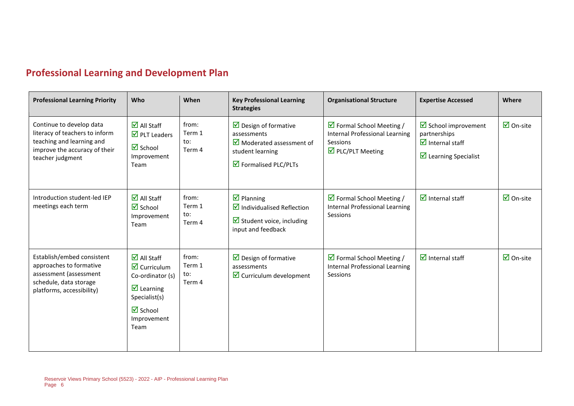### **Professional Learning and Development Plan**

 $\blacksquare$ 

| <b>Professional Learning Priority</b>                                                                                                        | Who                                                                                                                                                                                               | When                             | <b>Key Professional Learning</b><br><b>Strategies</b>                                                                                                      | <b>Organisational Structure</b>                                                                                                   | <b>Expertise Accessed</b>                                                                                                             | Where                           |
|----------------------------------------------------------------------------------------------------------------------------------------------|---------------------------------------------------------------------------------------------------------------------------------------------------------------------------------------------------|----------------------------------|------------------------------------------------------------------------------------------------------------------------------------------------------------|-----------------------------------------------------------------------------------------------------------------------------------|---------------------------------------------------------------------------------------------------------------------------------------|---------------------------------|
| Continue to develop data<br>literacy of teachers to inform<br>teaching and learning and<br>improve the accuracy of their<br>teacher judgment | $\overline{\mathsf{M}}$ All Staff<br>$\overline{\mathbf{2}}$ PLT Leaders<br>$\overline{\mathbf{z}}$ School<br>Improvement<br>Team                                                                 | from:<br>Term 1<br>to:<br>Term 4 | $\triangleright$ Design of formative<br>assessments<br>$\overline{\mathbf{2}}$ Moderated assessment of<br>student learning<br><b>Ø</b> Formalised PLC/PLTs | $\triangleright$ Formal School Meeting /<br><b>Internal Professional Learning</b><br>Sessions<br>$\triangleright$ PLC/PLT Meeting | $\triangleright$ School improvement<br>partnerships<br>$\overline{\mathbf{M}}$ Internal staff<br>$\triangleright$ Learning Specialist | $\overline{\mathsf{M}}$ On-site |
| Introduction student-led IEP<br>meetings each term                                                                                           | $\overline{\mathbf{M}}$ All Staff<br>$\overline{\mathbf{z}}$ School<br>Improvement<br>Team                                                                                                        | from:<br>Term 1<br>to:<br>Term 4 | $\overline{\mathbf{M}}$ Planning<br>$\blacksquare$ Individualised Reflection<br>$\triangleright$ Student voice, including<br>input and feedback            | $\triangledown$ Formal School Meeting /<br><b>Internal Professional Learning</b><br>Sessions                                      | $\overline{\mathbf{M}}$ Internal staff                                                                                                | $\overline{\mathbf{M}}$ On-site |
| Establish/embed consistent<br>approaches to formative<br>assessment (assessment<br>schedule, data storage<br>platforms, accessibility)       | $\overline{\mathsf{M}}$ All Staff<br>$\triangledown$ Curriculum<br>Co-ordinator (s)<br>$\overline{\mathbf{M}}$ Learning<br>Specialist(s)<br>$\overline{\mathbf{M}}$ School<br>Improvement<br>Team | from:<br>Term 1<br>to:<br>Term 4 | $\triangleright$ Design of formative<br>assessments<br>$\triangleright$ Curriculum development                                                             | $\triangleright$ Formal School Meeting /<br><b>Internal Professional Learning</b><br>Sessions                                     | $\triangleright$ Internal staff                                                                                                       | $\overline{\mathbf{M}}$ On-site |